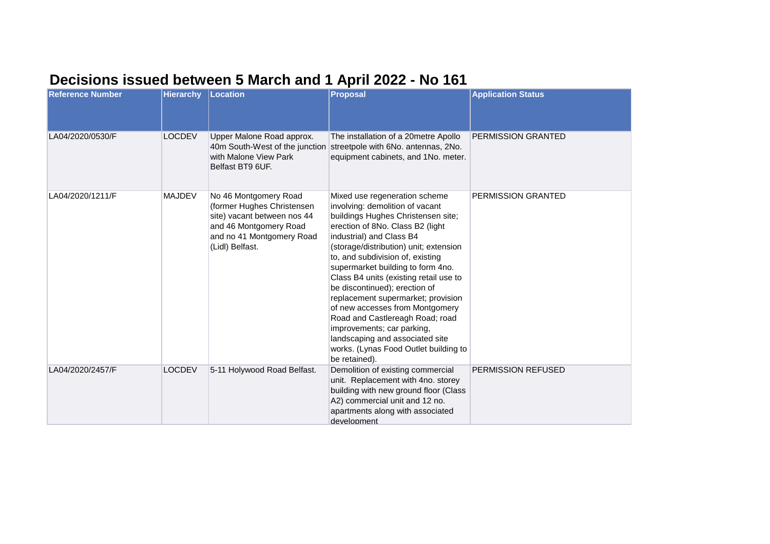## **Decisions issued between 5 March and 1 April 2022 - No 161**

| <b>Reference Number</b> | <b>Hierarchy</b> | <b>Location</b>                                                                                                                                              | <b>Proposal</b>                                                                                                                                                                                                                                                                                                                                                                                                                                                                                                                                                                                             | <b>Application Status</b> |
|-------------------------|------------------|--------------------------------------------------------------------------------------------------------------------------------------------------------------|-------------------------------------------------------------------------------------------------------------------------------------------------------------------------------------------------------------------------------------------------------------------------------------------------------------------------------------------------------------------------------------------------------------------------------------------------------------------------------------------------------------------------------------------------------------------------------------------------------------|---------------------------|
| LA04/2020/0530/F        | <b>LOCDEV</b>    | Upper Malone Road approx.<br>with Malone View Park<br>Belfast BT9 6UF.                                                                                       | The installation of a 20metre Apollo<br>40m South-West of the junction streetpole with 6No. antennas, 2No.<br>equipment cabinets, and 1No. meter.                                                                                                                                                                                                                                                                                                                                                                                                                                                           | <b>PERMISSION GRANTED</b> |
| LA04/2020/1211/F        | <b>MAJDEV</b>    | No 46 Montgomery Road<br>(former Hughes Christensen<br>site) vacant between nos 44<br>and 46 Montgomery Road<br>and no 41 Montgomery Road<br>(Lidl) Belfast. | Mixed use regeneration scheme<br>involving: demolition of vacant<br>buildings Hughes Christensen site;<br>erection of 8No. Class B2 (light<br>industrial) and Class B4<br>(storage/distribution) unit; extension<br>to, and subdivision of, existing<br>supermarket building to form 4no.<br>Class B4 units (existing retail use to<br>be discontinued); erection of<br>replacement supermarket; provision<br>of new accesses from Montgomery<br>Road and Castlereagh Road; road<br>improvements; car parking,<br>landscaping and associated site<br>works. (Lynas Food Outlet building to<br>be retained). | <b>PERMISSION GRANTED</b> |
| LA04/2020/2457/F        | <b>LOCDEV</b>    | 5-11 Holywood Road Belfast.                                                                                                                                  | Demolition of existing commercial<br>unit. Replacement with 4no. storey<br>building with new ground floor (Class<br>A2) commercial unit and 12 no.<br>apartments along with associated<br>development                                                                                                                                                                                                                                                                                                                                                                                                       | PERMISSION REFUSED        |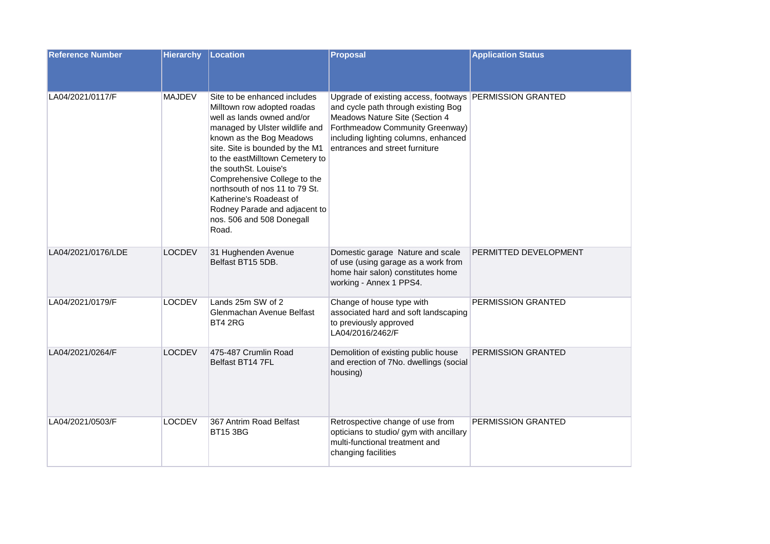| <b>Reference Number</b> | <b>Hierarchy</b> | Location                                                                                                                                                                                                                                                                                                                                                                                                                   | <b>Proposal</b>                                                                                                                                                                                                                               | <b>Application Status</b> |
|-------------------------|------------------|----------------------------------------------------------------------------------------------------------------------------------------------------------------------------------------------------------------------------------------------------------------------------------------------------------------------------------------------------------------------------------------------------------------------------|-----------------------------------------------------------------------------------------------------------------------------------------------------------------------------------------------------------------------------------------------|---------------------------|
| LA04/2021/0117/F        | <b>MAJDEV</b>    | Site to be enhanced includes<br>Milltown row adopted roadas<br>well as lands owned and/or<br>managed by Ulster wildlife and<br>known as the Bog Meadows<br>site. Site is bounded by the M1<br>to the eastMilltown Cemetery to<br>the southSt. Louise's<br>Comprehensive College to the<br>northsouth of nos 11 to 79 St.<br>Katherine's Roadeast of<br>Rodney Parade and adjacent to<br>nos. 506 and 508 Donegall<br>Road. | Upgrade of existing access, footways PERMISSION GRANTED<br>and cycle path through existing Bog<br>Meadows Nature Site (Section 4<br>Forthmeadow Community Greenway)<br>including lighting columns, enhanced<br>entrances and street furniture |                           |
| LA04/2021/0176/LDE      | <b>LOCDEV</b>    | 31 Hughenden Avenue<br>Belfast BT15 5DB.                                                                                                                                                                                                                                                                                                                                                                                   | Domestic garage Nature and scale<br>of use (using garage as a work from<br>home hair salon) constitutes home<br>working - Annex 1 PPS4.                                                                                                       | PERMITTED DEVELOPMENT     |
| LA04/2021/0179/F        | <b>LOCDEV</b>    | Lands 25m SW of 2<br>Glenmachan Avenue Belfast<br>BT4 2RG                                                                                                                                                                                                                                                                                                                                                                  | Change of house type with<br>associated hard and soft landscaping<br>to previously approved<br>LA04/2016/2462/F                                                                                                                               | <b>PERMISSION GRANTED</b> |
| LA04/2021/0264/F        | <b>LOCDEV</b>    | 475-487 Crumlin Road<br>Belfast BT14 7FL                                                                                                                                                                                                                                                                                                                                                                                   | Demolition of existing public house<br>and erection of 7No. dwellings (social<br>housing)                                                                                                                                                     | PERMISSION GRANTED        |
| LA04/2021/0503/F        | <b>LOCDEV</b>    | 367 Antrim Road Belfast<br><b>BT15 3BG</b>                                                                                                                                                                                                                                                                                                                                                                                 | Retrospective change of use from<br>opticians to studio/ gym with ancillary<br>multi-functional treatment and<br>changing facilities                                                                                                          | PERMISSION GRANTED        |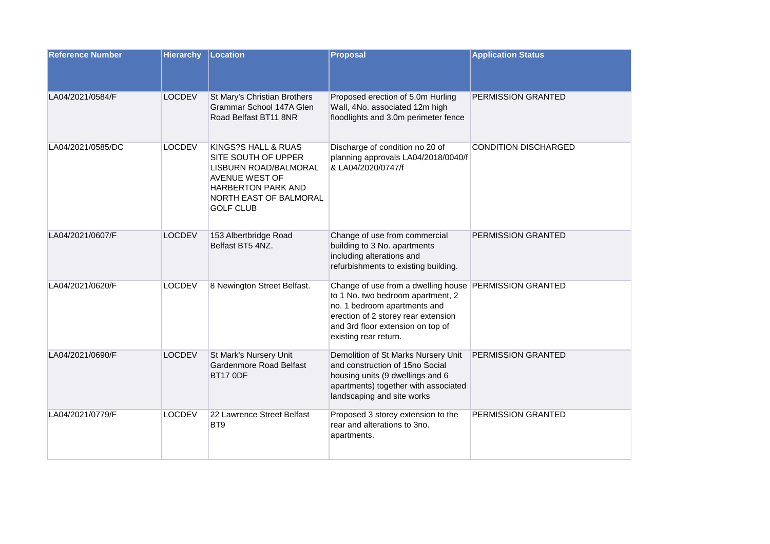| <b>Reference Number</b> | <b>Hierarchy</b> | Location                                                                                                                                                         | <b>Proposal</b>                                                                                                                                                                                                                  | <b>Application Status</b>   |
|-------------------------|------------------|------------------------------------------------------------------------------------------------------------------------------------------------------------------|----------------------------------------------------------------------------------------------------------------------------------------------------------------------------------------------------------------------------------|-----------------------------|
| LA04/2021/0584/F        | <b>LOCDEV</b>    | St Mary's Christian Brothers<br>Grammar School 147A Glen<br>Road Belfast BT11 8NR                                                                                | Proposed erection of 5.0m Hurling<br>Wall, 4No. associated 12m high<br>floodlights and 3.0m perimeter fence                                                                                                                      | PERMISSION GRANTED          |
| LA04/2021/0585/DC       | <b>LOCDEV</b>    | KINGS?S HALL & RUAS<br>SITE SOUTH OF UPPER<br>LISBURN ROAD/BALMORAL<br>AVENUE WEST OF<br><b>HARBERTON PARK AND</b><br>NORTH EAST OF BALMORAL<br><b>GOLF CLUB</b> | Discharge of condition no 20 of<br>planning approvals LA04/2018/0040/f<br>& LA04/2020/0747/f                                                                                                                                     | <b>CONDITION DISCHARGED</b> |
| LA04/2021/0607/F        | <b>LOCDEV</b>    | 153 Albertbridge Road<br>Belfast BT5 4NZ.                                                                                                                        | Change of use from commercial<br>building to 3 No. apartments<br>including alterations and<br>refurbishments to existing building.                                                                                               | PERMISSION GRANTED          |
| LA04/2021/0620/F        | <b>LOCDEV</b>    | 8 Newington Street Belfast.                                                                                                                                      | Change of use from a dwelling house PERMISSION GRANTED<br>to 1 No. two bedroom apartment, 2<br>no. 1 bedroom apartments and<br>erection of 2 storey rear extension<br>and 3rd floor extension on top of<br>existing rear return. |                             |
| LA04/2021/0690/F        | <b>LOCDEV</b>    | St Mark's Nursery Unit<br>Gardenmore Road Belfast<br><b>BT17 0DF</b>                                                                                             | Demolition of St Marks Nursery Unit<br>and construction of 15no Social<br>housing units (9 dwellings and 6<br>apartments) together with associated<br>landscaping and site works                                                 | PERMISSION GRANTED          |
| LA04/2021/0779/F        | <b>LOCDEV</b>    | 22 Lawrence Street Belfast<br>BT <sub>9</sub>                                                                                                                    | Proposed 3 storey extension to the<br>rear and alterations to 3no.<br>apartments.                                                                                                                                                | PERMISSION GRANTED          |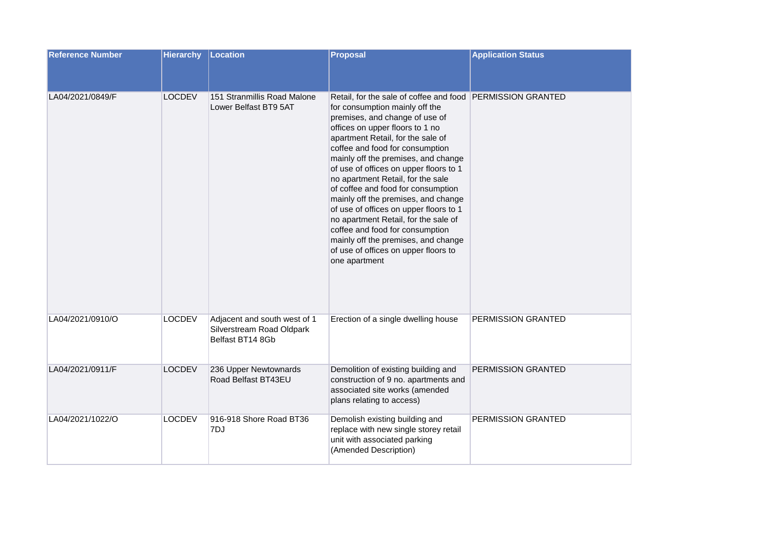| <b>Reference Number</b> | <b>Hierarchy</b> | Location                                                                      | <b>Proposal</b>                                                                                                                                                                                                                                                                                                                                                                                                                                                                                                                                                                                                                                                   | <b>Application Status</b> |
|-------------------------|------------------|-------------------------------------------------------------------------------|-------------------------------------------------------------------------------------------------------------------------------------------------------------------------------------------------------------------------------------------------------------------------------------------------------------------------------------------------------------------------------------------------------------------------------------------------------------------------------------------------------------------------------------------------------------------------------------------------------------------------------------------------------------------|---------------------------|
|                         |                  |                                                                               |                                                                                                                                                                                                                                                                                                                                                                                                                                                                                                                                                                                                                                                                   |                           |
| LA04/2021/0849/F        | <b>LOCDEV</b>    | 151 Stranmillis Road Malone<br>Lower Belfast BT9 5AT                          | Retail, for the sale of coffee and food PERMISSION GRANTED<br>for consumption mainly off the<br>premises, and change of use of<br>offices on upper floors to 1 no<br>apartment Retail, for the sale of<br>coffee and food for consumption<br>mainly off the premises, and change<br>of use of offices on upper floors to 1<br>no apartment Retail, for the sale<br>of coffee and food for consumption<br>mainly off the premises, and change<br>of use of offices on upper floors to 1<br>no apartment Retail, for the sale of<br>coffee and food for consumption<br>mainly off the premises, and change<br>of use of offices on upper floors to<br>one apartment |                           |
| LA04/2021/0910/O        | <b>LOCDEV</b>    | Adjacent and south west of 1<br>Silverstream Road Oldpark<br>Belfast BT14 8Gb | Erection of a single dwelling house                                                                                                                                                                                                                                                                                                                                                                                                                                                                                                                                                                                                                               | PERMISSION GRANTED        |
| LA04/2021/0911/F        | <b>LOCDEV</b>    | 236 Upper Newtownards<br>Road Belfast BT43EU                                  | Demolition of existing building and<br>construction of 9 no. apartments and<br>associated site works (amended<br>plans relating to access)                                                                                                                                                                                                                                                                                                                                                                                                                                                                                                                        | PERMISSION GRANTED        |
| LA04/2021/1022/O        | <b>LOCDEV</b>    | 916-918 Shore Road BT36<br>7DJ                                                | Demolish existing building and<br>replace with new single storey retail<br>unit with associated parking<br>(Amended Description)                                                                                                                                                                                                                                                                                                                                                                                                                                                                                                                                  | PERMISSION GRANTED        |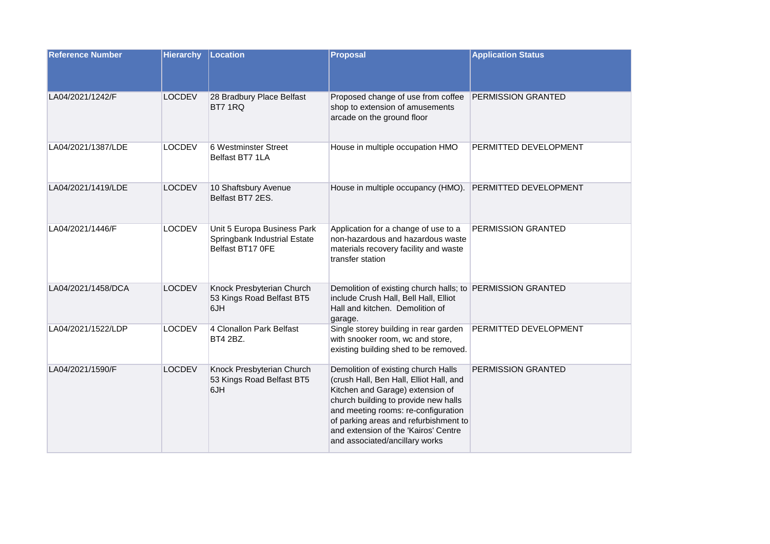| <b>Reference Number</b> | <b>Hierarchy</b> | Location                                                                        | <b>Proposal</b>                                                                                                                                                                                                                                                                                                      | <b>Application Status</b> |
|-------------------------|------------------|---------------------------------------------------------------------------------|----------------------------------------------------------------------------------------------------------------------------------------------------------------------------------------------------------------------------------------------------------------------------------------------------------------------|---------------------------|
| LA04/2021/1242/F        | <b>LOCDEV</b>    | 28 Bradbury Place Belfast<br>BT7 1RQ                                            | Proposed change of use from coffee<br>shop to extension of amusements<br>arcade on the ground floor                                                                                                                                                                                                                  | PERMISSION GRANTED        |
| LA04/2021/1387/LDE      | <b>LOCDEV</b>    | 6 Westminster Street<br>Belfast BT7 1LA                                         | House in multiple occupation HMO                                                                                                                                                                                                                                                                                     | PERMITTED DEVELOPMENT     |
| LA04/2021/1419/LDE      | <b>LOCDEV</b>    | 10 Shaftsbury Avenue<br>Belfast BT7 2ES.                                        | House in multiple occupancy (HMO).                                                                                                                                                                                                                                                                                   | PERMITTED DEVELOPMENT     |
| LA04/2021/1446/F        | <b>LOCDEV</b>    | Unit 5 Europa Business Park<br>Springbank Industrial Estate<br>Belfast BT17 OFE | Application for a change of use to a<br>non-hazardous and hazardous waste<br>materials recovery facility and waste<br>transfer station                                                                                                                                                                               | PERMISSION GRANTED        |
| LA04/2021/1458/DCA      | <b>LOCDEV</b>    | Knock Presbyterian Church<br>53 Kings Road Belfast BT5<br>6JH                   | Demolition of existing church halls; to PERMISSION GRANTED<br>include Crush Hall, Bell Hall, Elliot<br>Hall and kitchen. Demolition of<br>garage.                                                                                                                                                                    |                           |
| LA04/2021/1522/LDP      | <b>LOCDEV</b>    | 4 Clonallon Park Belfast<br>BT4 2BZ.                                            | Single storey building in rear garden<br>with snooker room, wc and store,<br>existing building shed to be removed.                                                                                                                                                                                                   | PERMITTED DEVELOPMENT     |
| LA04/2021/1590/F        | <b>LOCDEV</b>    | Knock Presbyterian Church<br>53 Kings Road Belfast BT5<br>6JH                   | Demolition of existing church Halls<br>(crush Hall, Ben Hall, Elliot Hall, and<br>Kitchen and Garage) extension of<br>church building to provide new halls<br>and meeting rooms: re-configuration<br>of parking areas and refurbishment to<br>and extension of the 'Kairos' Centre<br>and associated/ancillary works | PERMISSION GRANTED        |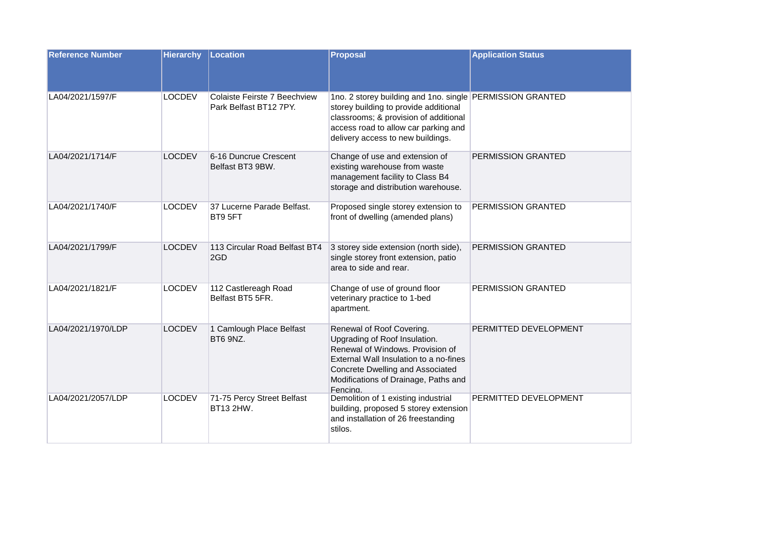| <b>Reference Number</b> | <b>Hierarchy</b> | Location                                               | <b>Proposal</b>                                                                                                                                                                                                                  | <b>Application Status</b> |
|-------------------------|------------------|--------------------------------------------------------|----------------------------------------------------------------------------------------------------------------------------------------------------------------------------------------------------------------------------------|---------------------------|
| LA04/2021/1597/F        | <b>LOCDEV</b>    | Colaiste Feirste 7 Beechview<br>Park Belfast BT12 7PY. | 1no. 2 storey building and 1no. single PERMISSION GRANTED<br>storey building to provide additional<br>classrooms; & provision of additional<br>access road to allow car parking and<br>delivery access to new buildings.         |                           |
| LA04/2021/1714/F        | <b>LOCDEV</b>    | 6-16 Duncrue Crescent<br>Belfast BT3 9BW.              | Change of use and extension of<br>existing warehouse from waste<br>management facility to Class B4<br>storage and distribution warehouse.                                                                                        | PERMISSION GRANTED        |
| LA04/2021/1740/F        | <b>LOCDEV</b>    | 37 Lucerne Parade Belfast.<br>BT9 5FT                  | Proposed single storey extension to<br>front of dwelling (amended plans)                                                                                                                                                         | PERMISSION GRANTED        |
| LA04/2021/1799/F        | <b>LOCDEV</b>    | 113 Circular Road Belfast BT4<br>2GD                   | 3 storey side extension (north side),<br>single storey front extension, patio<br>area to side and rear.                                                                                                                          | <b>PERMISSION GRANTED</b> |
| LA04/2021/1821/F        | <b>LOCDEV</b>    | 112 Castlereagh Road<br>Belfast BT5 5FR.               | Change of use of ground floor<br>veterinary practice to 1-bed<br>apartment.                                                                                                                                                      | PERMISSION GRANTED        |
| LA04/2021/1970/LDP      | <b>LOCDEV</b>    | 1 Camlough Place Belfast<br>BT6 9NZ.                   | Renewal of Roof Covering.<br>Upgrading of Roof Insulation.<br>Renewal of Windows. Provision of<br>External Wall Insulation to a no-fines<br>Concrete Dwelling and Associated<br>Modifications of Drainage, Paths and<br>Fencina. | PERMITTED DEVELOPMENT     |
| LA04/2021/2057/LDP      | <b>LOCDEV</b>    | 71-75 Percy Street Belfast<br>BT13 2HW.                | Demolition of 1 existing industrial<br>building, proposed 5 storey extension<br>and installation of 26 freestanding<br>stilos.                                                                                                   | PERMITTED DEVELOPMENT     |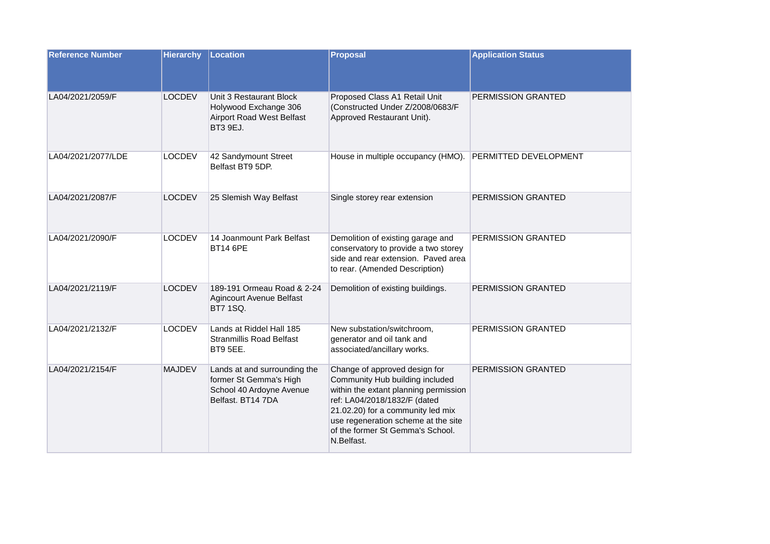| <b>Reference Number</b> | <b>Hierarchy</b> | Location                                                                                                | <b>Proposal</b>                                                                                                                                                                                                                                                         | <b>Application Status</b>    |
|-------------------------|------------------|---------------------------------------------------------------------------------------------------------|-------------------------------------------------------------------------------------------------------------------------------------------------------------------------------------------------------------------------------------------------------------------------|------------------------------|
| LA04/2021/2059/F        | <b>LOCDEV</b>    | Unit 3 Restaurant Block<br>Holywood Exchange 306<br><b>Airport Road West Belfast</b><br><b>BT3 9EJ.</b> | Proposed Class A1 Retail Unit<br>(Constructed Under Z/2008/0683/F<br>Approved Restaurant Unit).                                                                                                                                                                         | PERMISSION GRANTED           |
| LA04/2021/2077/LDE      | <b>LOCDEV</b>    | 42 Sandymount Street<br>Belfast BT9 5DP.                                                                | House in multiple occupancy (HMO).                                                                                                                                                                                                                                      | <b>PERMITTED DEVELOPMENT</b> |
| LA04/2021/2087/F        | <b>LOCDEV</b>    | 25 Slemish Way Belfast                                                                                  | Single storey rear extension                                                                                                                                                                                                                                            | PERMISSION GRANTED           |
| LA04/2021/2090/F        | <b>LOCDEV</b>    | 14 Joanmount Park Belfast<br><b>BT14 6PE</b>                                                            | Demolition of existing garage and<br>conservatory to provide a two storey<br>side and rear extension. Paved area<br>to rear. (Amended Description)                                                                                                                      | PERMISSION GRANTED           |
| LA04/2021/2119/F        | <b>LOCDEV</b>    | 189-191 Ormeau Road & 2-24<br><b>Agincourt Avenue Belfast</b><br><b>BT7 1SQ.</b>                        | Demolition of existing buildings.                                                                                                                                                                                                                                       | PERMISSION GRANTED           |
| LA04/2021/2132/F        | <b>LOCDEV</b>    | Lands at Riddel Hall 185<br><b>Stranmillis Road Belfast</b><br><b>BT9 5EE.</b>                          | New substation/switchroom,<br>generator and oil tank and<br>associated/ancillary works.                                                                                                                                                                                 | PERMISSION GRANTED           |
| LA04/2021/2154/F        | <b>MAJDEV</b>    | Lands at and surrounding the<br>former St Gemma's High<br>School 40 Ardoyne Avenue<br>Belfast, BT14 7DA | Change of approved design for<br>Community Hub building included<br>within the extant planning permission<br>ref: LA04/2018/1832/F (dated<br>21.02.20) for a community led mix<br>use regeneration scheme at the site<br>of the former St Gemma's School.<br>N.Belfast. | PERMISSION GRANTED           |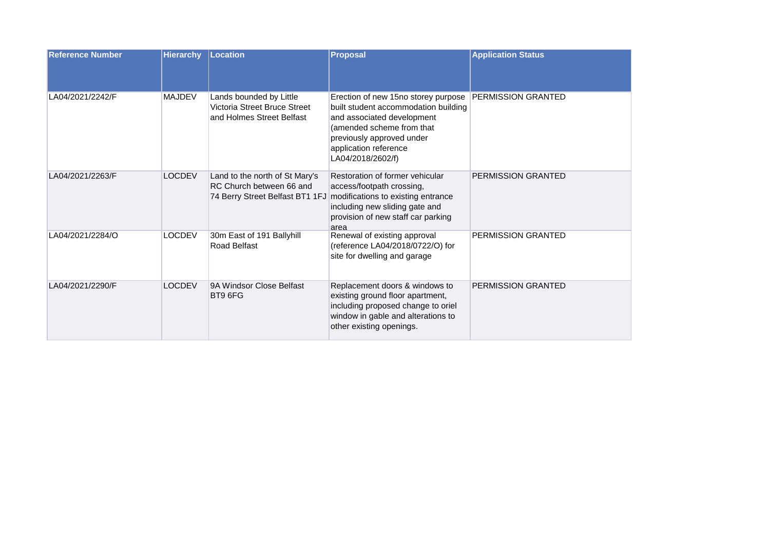| <b>Reference Number</b> | <b>Hierarchy</b> | Location                                                                                      | <b>Proposal</b>                                                                                                                                                                                                   | <b>Application Status</b> |
|-------------------------|------------------|-----------------------------------------------------------------------------------------------|-------------------------------------------------------------------------------------------------------------------------------------------------------------------------------------------------------------------|---------------------------|
| LA04/2021/2242/F        | <b>MAJDEV</b>    | Lands bounded by Little<br>Victoria Street Bruce Street<br>and Holmes Street Belfast          | Erection of new 15no storey purpose<br>built student accommodation building<br>and associated development<br>(amended scheme from that<br>previously approved under<br>application reference<br>LA04/2018/2602/f) | <b>PERMISSION GRANTED</b> |
| LA04/2021/2263/F        | <b>LOCDEV</b>    | Land to the north of St Mary's<br>RC Church between 66 and<br>74 Berry Street Belfast BT1 1FJ | Restoration of former vehicular<br>access/footpath crossing,<br>modifications to existing entrance<br>including new sliding gate and<br>provision of new staff car parking<br>area                                | <b>PERMISSION GRANTED</b> |
| LA04/2021/2284/O        | <b>LOCDEV</b>    | 30m East of 191 Ballyhill<br>Road Belfast                                                     | Renewal of existing approval<br>(reference LA04/2018/0722/O) for<br>site for dwelling and garage                                                                                                                  | <b>PERMISSION GRANTED</b> |
| LA04/2021/2290/F        | <b>LOCDEV</b>    | 9A Windsor Close Belfast<br>BT9 6FG                                                           | Replacement doors & windows to<br>existing ground floor apartment,<br>including proposed change to oriel<br>window in gable and alterations to<br>other existing openings.                                        | PERMISSION GRANTED        |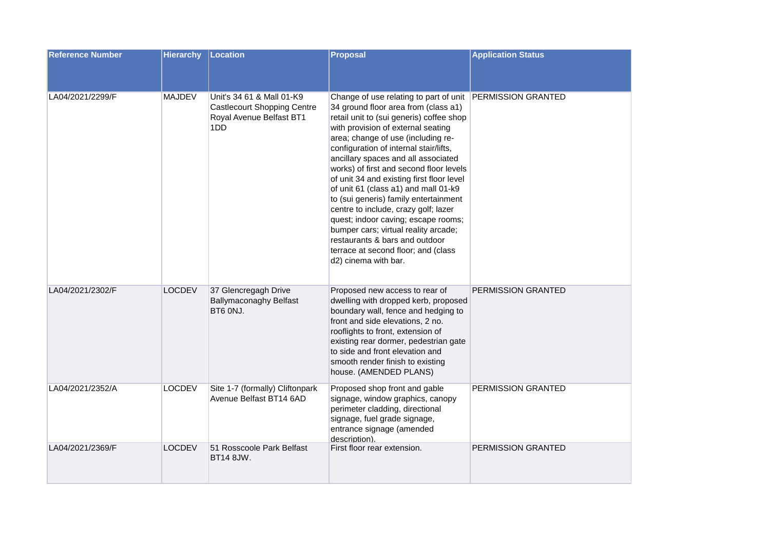| <b>Reference Number</b> | <b>Hierarchy</b> | Location                                                                                           | <b>Proposal</b>                                                                                                                                                                                                                                                                                                                                                                                                                                                                                                                                                                                                                                                                                             | <b>Application Status</b> |
|-------------------------|------------------|----------------------------------------------------------------------------------------------------|-------------------------------------------------------------------------------------------------------------------------------------------------------------------------------------------------------------------------------------------------------------------------------------------------------------------------------------------------------------------------------------------------------------------------------------------------------------------------------------------------------------------------------------------------------------------------------------------------------------------------------------------------------------------------------------------------------------|---------------------------|
| LA04/2021/2299/F        | <b>MAJDEV</b>    | Unit's 34 61 & Mall 01-K9<br><b>Castlecourt Shopping Centre</b><br>Royal Avenue Belfast BT1<br>1DD | Change of use relating to part of unit PERMISSION GRANTED<br>34 ground floor area from (class a1)<br>retail unit to (sui generis) coffee shop<br>with provision of external seating<br>area; change of use (including re-<br>configuration of internal stair/lifts,<br>ancillary spaces and all associated<br>works) of first and second floor levels<br>of unit 34 and existing first floor level<br>of unit 61 (class a1) and mall 01-k9<br>to (sui generis) family entertainment<br>centre to include, crazy golf; lazer<br>quest; indoor caving; escape rooms;<br>bumper cars; virtual reality arcade;<br>restaurants & bars and outdoor<br>terrace at second floor; and (class<br>d2) cinema with bar. |                           |
| LA04/2021/2302/F        | <b>LOCDEV</b>    | 37 Glencregagh Drive<br><b>Ballymaconaghy Belfast</b><br>BT6 ONJ.                                  | Proposed new access to rear of<br>dwelling with dropped kerb, proposed<br>boundary wall, fence and hedging to<br>front and side elevations, 2 no.<br>rooflights to front, extension of<br>existing rear dormer, pedestrian gate<br>to side and front elevation and<br>smooth render finish to existing<br>house. (AMENDED PLANS)                                                                                                                                                                                                                                                                                                                                                                            | PERMISSION GRANTED        |
| LA04/2021/2352/A        | <b>LOCDEV</b>    | Site 1-7 (formally) Cliftonpark<br>Avenue Belfast BT14 6AD                                         | Proposed shop front and gable<br>signage, window graphics, canopy<br>perimeter cladding, directional<br>signage, fuel grade signage,<br>entrance signage (amended<br>description).                                                                                                                                                                                                                                                                                                                                                                                                                                                                                                                          | PERMISSION GRANTED        |
| LA04/2021/2369/F        | <b>LOCDEV</b>    | 51 Rosscoole Park Belfast<br>BT14 8JW.                                                             | First floor rear extension.                                                                                                                                                                                                                                                                                                                                                                                                                                                                                                                                                                                                                                                                                 | PERMISSION GRANTED        |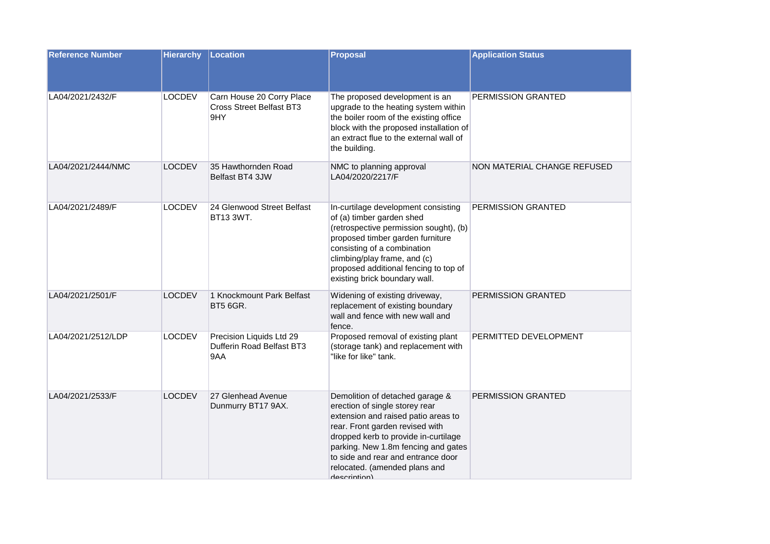| <b>Reference Number</b> | <b>Hierarchy</b> | Location                                                            | <b>Proposal</b>                                                                                                                                                                                                                                                                                                   | <b>Application Status</b>   |
|-------------------------|------------------|---------------------------------------------------------------------|-------------------------------------------------------------------------------------------------------------------------------------------------------------------------------------------------------------------------------------------------------------------------------------------------------------------|-----------------------------|
| LA04/2021/2432/F        | <b>LOCDEV</b>    | Carn House 20 Corry Place<br><b>Cross Street Belfast BT3</b><br>9HY | The proposed development is an<br>upgrade to the heating system within<br>the boiler room of the existing office<br>block with the proposed installation of<br>an extract flue to the external wall of<br>the building.                                                                                           | PERMISSION GRANTED          |
| LA04/2021/2444/NMC      | <b>LOCDEV</b>    | 35 Hawthornden Road<br>Belfast BT4 3JW                              | NMC to planning approval<br>LA04/2020/2217/F                                                                                                                                                                                                                                                                      | NON MATERIAL CHANGE REFUSED |
| LA04/2021/2489/F        | <b>LOCDEV</b>    | 24 Glenwood Street Belfast<br>BT13 3WT.                             | In-curtilage development consisting<br>of (a) timber garden shed<br>(retrospective permission sought), (b)<br>proposed timber garden furniture<br>consisting of a combination<br>climbing/play frame, and (c)<br>proposed additional fencing to top of<br>existing brick boundary wall.                           | PERMISSION GRANTED          |
| LA04/2021/2501/F        | <b>LOCDEV</b>    | 1 Knockmount Park Belfast<br><b>BT5 6GR.</b>                        | Widening of existing driveway,<br>replacement of existing boundary<br>wall and fence with new wall and<br>fence.                                                                                                                                                                                                  | PERMISSION GRANTED          |
| LA04/2021/2512/LDP      | <b>LOCDEV</b>    | Precision Liquids Ltd 29<br>Dufferin Road Belfast BT3<br>9AA        | Proposed removal of existing plant<br>(storage tank) and replacement with<br>"like for like" tank.                                                                                                                                                                                                                | PERMITTED DEVELOPMENT       |
| LA04/2021/2533/F        | <b>LOCDEV</b>    | 27 Glenhead Avenue<br>Dunmurry BT17 9AX.                            | Demolition of detached garage &<br>erection of single storey rear<br>extension and raised patio areas to<br>rear. Front garden revised with<br>dropped kerb to provide in-curtilage<br>parking. New 1.8m fencing and gates<br>to side and rear and entrance door<br>relocated. (amended plans and<br>daecrintion) | PERMISSION GRANTED          |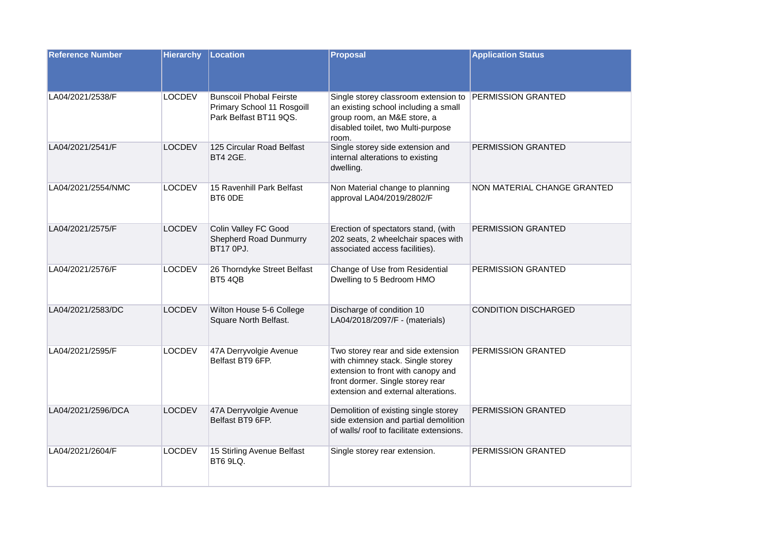| <b>Reference Number</b> | <b>Hierarchy</b> | Location                                                                               | <b>Proposal</b>                                                                                                                                                                          | <b>Application Status</b>   |
|-------------------------|------------------|----------------------------------------------------------------------------------------|------------------------------------------------------------------------------------------------------------------------------------------------------------------------------------------|-----------------------------|
| LA04/2021/2538/F        | <b>LOCDEV</b>    | <b>Bunscoil Phobal Feirste</b><br>Primary School 11 Rosgoill<br>Park Belfast BT11 9QS. | Single storey classroom extension to<br>an existing school including a small<br>group room, an M&E store, a<br>disabled toilet, two Multi-purpose<br>room.                               | PERMISSION GRANTED          |
| LA04/2021/2541/F        | <b>LOCDEV</b>    | 125 Circular Road Belfast<br>BT4 2GE.                                                  | Single storey side extension and<br>internal alterations to existing<br>dwelling.                                                                                                        | PERMISSION GRANTED          |
| LA04/2021/2554/NMC      | <b>LOCDEV</b>    | 15 Ravenhill Park Belfast<br>BT6 ODE                                                   | Non Material change to planning<br>approval LA04/2019/2802/F                                                                                                                             | NON MATERIAL CHANGE GRANTED |
| LA04/2021/2575/F        | <b>LOCDEV</b>    | Colin Valley FC Good<br><b>Shepherd Road Dunmurry</b><br>BT17 0PJ.                     | Erection of spectators stand, (with<br>202 seats, 2 wheelchair spaces with<br>associated access facilities).                                                                             | PERMISSION GRANTED          |
| LA04/2021/2576/F        | <b>LOCDEV</b>    | 26 Thorndyke Street Belfast<br>BT54QB                                                  | Change of Use from Residential<br>Dwelling to 5 Bedroom HMO                                                                                                                              | PERMISSION GRANTED          |
| LA04/2021/2583/DC       | <b>LOCDEV</b>    | Wilton House 5-6 College<br>Square North Belfast.                                      | Discharge of condition 10<br>LA04/2018/2097/F - (materials)                                                                                                                              | <b>CONDITION DISCHARGED</b> |
| LA04/2021/2595/F        | <b>LOCDEV</b>    | 47A Derryvolgie Avenue<br>Belfast BT9 6FP.                                             | Two storey rear and side extension<br>with chimney stack. Single storey<br>extension to front with canopy and<br>front dormer. Single storey rear<br>extension and external alterations. | PERMISSION GRANTED          |
| LA04/2021/2596/DCA      | <b>LOCDEV</b>    | 47A Derryvolgie Avenue<br>Belfast BT9 6FP.                                             | Demolition of existing single storey<br>side extension and partial demolition<br>of walls/ roof to facilitate extensions.                                                                | PERMISSION GRANTED          |
| LA04/2021/2604/F        | <b>LOCDEV</b>    | 15 Stirling Avenue Belfast<br><b>BT6 9LQ.</b>                                          | Single storey rear extension.                                                                                                                                                            | PERMISSION GRANTED          |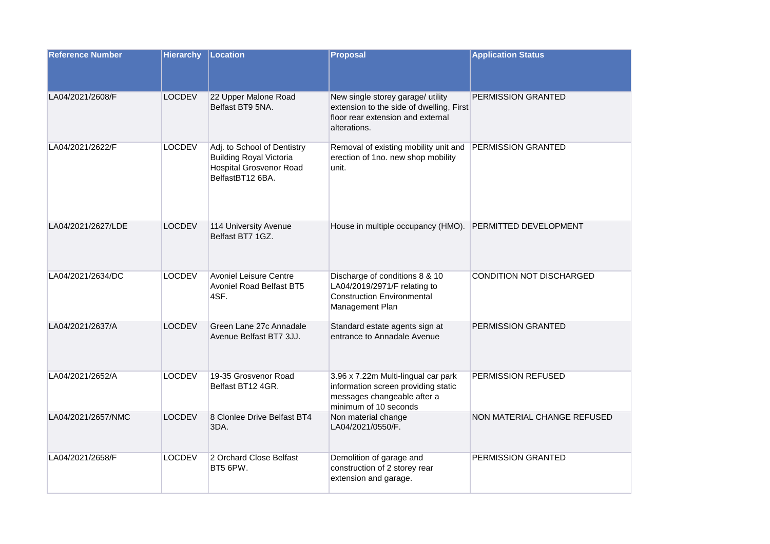| <b>Reference Number</b> | <b>Hierarchy</b> | Location                                                                                                            | <b>Proposal</b>                                                                                                                    | <b>Application Status</b>   |
|-------------------------|------------------|---------------------------------------------------------------------------------------------------------------------|------------------------------------------------------------------------------------------------------------------------------------|-----------------------------|
| LA04/2021/2608/F        | <b>LOCDEV</b>    | 22 Upper Malone Road<br>Belfast BT9 5NA.                                                                            | New single storey garage/ utility<br>extension to the side of dwelling, First<br>floor rear extension and external<br>alterations. | PERMISSION GRANTED          |
| LA04/2021/2622/F        | <b>LOCDEV</b>    | Adj. to School of Dentistry<br><b>Building Royal Victoria</b><br><b>Hospital Grosvenor Road</b><br>BelfastBT12 6BA. | Removal of existing mobility unit and<br>erection of 1no. new shop mobility<br>unit.                                               | PERMISSION GRANTED          |
| LA04/2021/2627/LDE      | <b>LOCDEV</b>    | 114 University Avenue<br>Belfast BT7 1GZ.                                                                           | House in multiple occupancy (HMO). PERMITTED DEVELOPMENT                                                                           |                             |
| LA04/2021/2634/DC       | <b>LOCDEV</b>    | <b>Avoniel Leisure Centre</b><br><b>Avoniel Road Belfast BT5</b><br>4SF.                                            | Discharge of conditions 8 & 10<br>LA04/2019/2971/F relating to<br><b>Construction Environmental</b><br>Management Plan             | CONDITION NOT DISCHARGED    |
| LA04/2021/2637/A        | <b>LOCDEV</b>    | Green Lane 27c Annadale<br>Avenue Belfast BT7 3JJ.                                                                  | Standard estate agents sign at<br>entrance to Annadale Avenue                                                                      | PERMISSION GRANTED          |
| LA04/2021/2652/A        | <b>LOCDEV</b>    | 19-35 Grosvenor Road<br>Belfast BT12 4GR.                                                                           | 3.96 x 7.22m Multi-lingual car park<br>information screen providing static<br>messages changeable after a<br>minimum of 10 seconds | PERMISSION REFUSED          |
| LA04/2021/2657/NMC      | <b>LOCDEV</b>    | 8 Clonlee Drive Belfast BT4<br>3DA.                                                                                 | Non material change<br>LA04/2021/0550/F.                                                                                           | NON MATERIAL CHANGE REFUSED |
| LA04/2021/2658/F        | <b>LOCDEV</b>    | 2 Orchard Close Belfast<br>BT5 6PW.                                                                                 | Demolition of garage and<br>construction of 2 storey rear<br>extension and garage.                                                 | PERMISSION GRANTED          |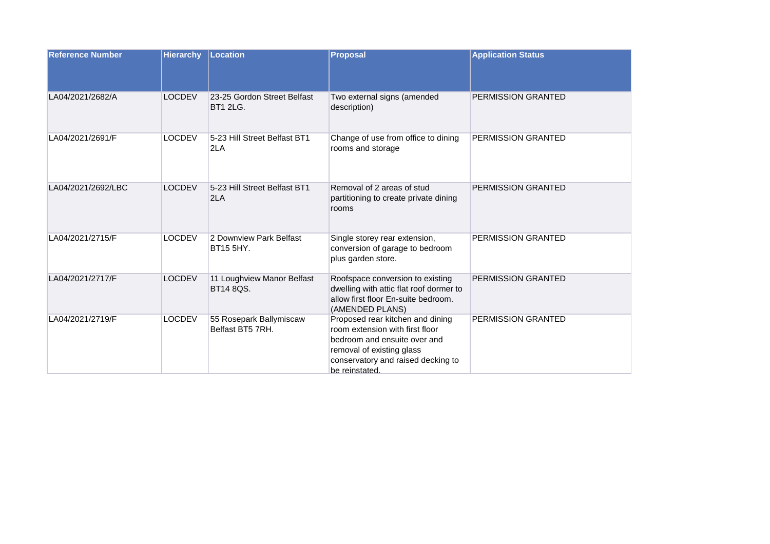| <b>Reference Number</b> | <b>Hierarchy</b> | Location                                       | <b>Proposal</b>                                                                                                                                                                          | <b>Application Status</b> |
|-------------------------|------------------|------------------------------------------------|------------------------------------------------------------------------------------------------------------------------------------------------------------------------------------------|---------------------------|
| LA04/2021/2682/A        | <b>LOCDEV</b>    | 23-25 Gordon Street Belfast<br><b>BT1 2LG.</b> | Two external signs (amended<br>description)                                                                                                                                              | PERMISSION GRANTED        |
| LA04/2021/2691/F        | <b>LOCDEV</b>    | 5-23 Hill Street Belfast BT1<br>2LA            | Change of use from office to dining<br>rooms and storage                                                                                                                                 | PERMISSION GRANTED        |
| LA04/2021/2692/LBC      | <b>LOCDEV</b>    | 5-23 Hill Street Belfast BT1<br>2LA            | Removal of 2 areas of stud<br>partitioning to create private dining<br>rooms                                                                                                             | PERMISSION GRANTED        |
| LA04/2021/2715/F        | <b>LOCDEV</b>    | 2 Downview Park Belfast<br>BT15 5HY.           | Single storey rear extension,<br>conversion of garage to bedroom<br>plus garden store.                                                                                                   | PERMISSION GRANTED        |
| LA04/2021/2717/F        | <b>LOCDEV</b>    | 11 Loughview Manor Belfast<br>BT14 8QS.        | Roofspace conversion to existing<br>dwelling with attic flat roof dormer to<br>allow first floor En-suite bedroom.<br>(AMENDED PLANS)                                                    | <b>PERMISSION GRANTED</b> |
| LA04/2021/2719/F        | <b>LOCDEV</b>    | 55 Rosepark Ballymiscaw<br>Belfast BT5 7RH.    | Proposed rear kitchen and dining<br>room extension with first floor<br>bedroom and ensuite over and<br>removal of existing glass<br>conservatory and raised decking to<br>be reinstated. | PERMISSION GRANTED        |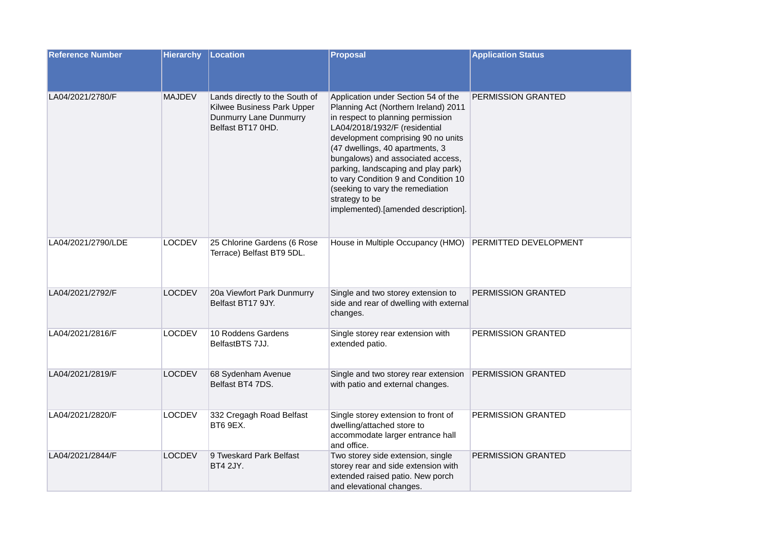| <b>Reference Number</b> | <b>Hierarchy</b> | Location                                                                                                    | <b>Proposal</b>                                                                                                                                                                                                                                                                                                                                                                                                                             | <b>Application Status</b>    |
|-------------------------|------------------|-------------------------------------------------------------------------------------------------------------|---------------------------------------------------------------------------------------------------------------------------------------------------------------------------------------------------------------------------------------------------------------------------------------------------------------------------------------------------------------------------------------------------------------------------------------------|------------------------------|
| LA04/2021/2780/F        | <b>MAJDEV</b>    | Lands directly to the South of<br>Kilwee Business Park Upper<br>Dunmurry Lane Dunmurry<br>Belfast BT17 0HD. | Application under Section 54 of the<br>Planning Act (Northern Ireland) 2011<br>in respect to planning permission<br>LA04/2018/1932/F (residential<br>development comprising 90 no units<br>(47 dwellings, 40 apartments, 3<br>bungalows) and associated access,<br>parking, landscaping and play park)<br>to vary Condition 9 and Condition 10<br>(seeking to vary the remediation<br>strategy to be<br>implemented).[amended description]. | <b>PERMISSION GRANTED</b>    |
| LA04/2021/2790/LDE      | <b>LOCDEV</b>    | 25 Chlorine Gardens (6 Rose<br>Terrace) Belfast BT9 5DL.                                                    | House in Multiple Occupancy (HMO)                                                                                                                                                                                                                                                                                                                                                                                                           | <b>PERMITTED DEVELOPMENT</b> |
| LA04/2021/2792/F        | <b>LOCDEV</b>    | 20a Viewfort Park Dunmurry<br>Belfast BT17 9JY.                                                             | Single and two storey extension to<br>side and rear of dwelling with external<br>changes.                                                                                                                                                                                                                                                                                                                                                   | PERMISSION GRANTED           |
| LA04/2021/2816/F        | <b>LOCDEV</b>    | 10 Roddens Gardens<br>BelfastBTS 7JJ.                                                                       | Single storey rear extension with<br>extended patio.                                                                                                                                                                                                                                                                                                                                                                                        | PERMISSION GRANTED           |
| LA04/2021/2819/F        | <b>LOCDEV</b>    | 68 Sydenham Avenue<br>Belfast BT4 7DS.                                                                      | Single and two storey rear extension<br>with patio and external changes.                                                                                                                                                                                                                                                                                                                                                                    | PERMISSION GRANTED           |
| LA04/2021/2820/F        | <b>LOCDEV</b>    | 332 Cregagh Road Belfast<br>BT6 9EX.                                                                        | Single storey extension to front of<br>dwelling/attached store to<br>accommodate larger entrance hall<br>and office.                                                                                                                                                                                                                                                                                                                        | PERMISSION GRANTED           |
| LA04/2021/2844/F        | <b>LOCDEV</b>    | 9 Tweskard Park Belfast<br><b>BT4 2JY.</b>                                                                  | Two storey side extension, single<br>storey rear and side extension with<br>extended raised patio. New porch<br>and elevational changes.                                                                                                                                                                                                                                                                                                    | PERMISSION GRANTED           |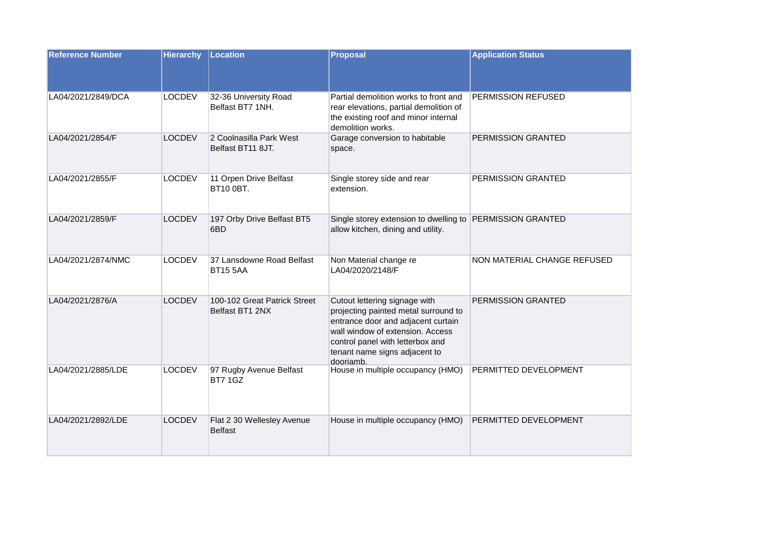| <b>Reference Number</b> | <b>Hierarchy</b> | Location                                        | <b>Proposal</b>                                                                                                                                                                                                                   | <b>Application Status</b>   |
|-------------------------|------------------|-------------------------------------------------|-----------------------------------------------------------------------------------------------------------------------------------------------------------------------------------------------------------------------------------|-----------------------------|
| LA04/2021/2849/DCA      | <b>LOCDEV</b>    | 32-36 University Road<br>Belfast BT7 1NH.       | Partial demolition works to front and<br>rear elevations, partial demolition of<br>the existing roof and minor internal<br>demolition works.                                                                                      | PERMISSION REFUSED          |
| LA04/2021/2854/F        | <b>LOCDEV</b>    | 2 Coolnasilla Park West<br>Belfast BT11 8JT.    | Garage conversion to habitable<br>space.                                                                                                                                                                                          | PERMISSION GRANTED          |
| LA04/2021/2855/F        | <b>LOCDEV</b>    | 11 Orpen Drive Belfast<br>BT10 0BT.             | Single storey side and rear<br>extension.                                                                                                                                                                                         | PERMISSION GRANTED          |
| LA04/2021/2859/F        | <b>LOCDEV</b>    | 197 Orby Drive Belfast BT5<br>6BD               | Single storey extension to dwelling to PERMISSION GRANTED<br>allow kitchen, dining and utility.                                                                                                                                   |                             |
| LA04/2021/2874/NMC      | <b>LOCDEV</b>    | 37 Lansdowne Road Belfast<br><b>BT15 5AA</b>    | Non Material change re<br>LA04/2020/2148/F                                                                                                                                                                                        | NON MATERIAL CHANGE REFUSED |
| LA04/2021/2876/A        | <b>LOCDEV</b>    | 100-102 Great Patrick Street<br>Belfast BT1 2NX | Cutout lettering signage with<br>projecting painted metal surround to<br>entrance door and adjacent curtain<br>wall window of extension. Access<br>control panel with letterbox and<br>tenant name signs adjacent to<br>dooriamb. | PERMISSION GRANTED          |
| LA04/2021/2885/LDE      | <b>LOCDEV</b>    | 97 Rugby Avenue Belfast<br><b>BT7 1GZ</b>       | House in multiple occupancy (HMO)                                                                                                                                                                                                 | PERMITTED DEVELOPMENT       |
| LA04/2021/2892/LDE      | <b>LOCDEV</b>    | Flat 2 30 Wellesley Avenue<br><b>Belfast</b>    | House in multiple occupancy (HMO)                                                                                                                                                                                                 | PERMITTED DEVELOPMENT       |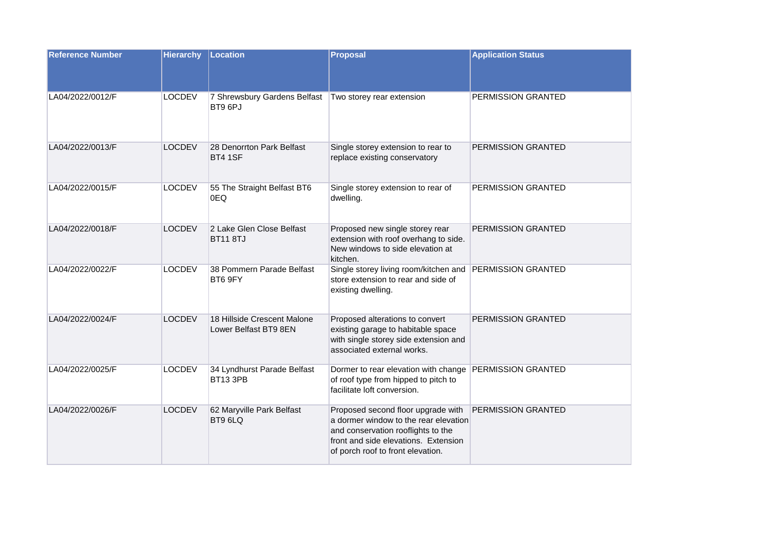| <b>Reference Number</b> | <b>Hierarchy</b> | Location                                             | Proposal                                                                                                                                                                                       | <b>Application Status</b> |
|-------------------------|------------------|------------------------------------------------------|------------------------------------------------------------------------------------------------------------------------------------------------------------------------------------------------|---------------------------|
| LA04/2022/0012/F        | <b>LOCDEV</b>    | 7 Shrewsbury Gardens Belfast<br>BT9 6PJ              | Two storey rear extension                                                                                                                                                                      | PERMISSION GRANTED        |
| LA04/2022/0013/F        | <b>LOCDEV</b>    | 28 Denorrton Park Belfast<br><b>BT4 1SF</b>          | Single storey extension to rear to<br>replace existing conservatory                                                                                                                            | PERMISSION GRANTED        |
| LA04/2022/0015/F        | <b>LOCDEV</b>    | 55 The Straight Belfast BT6<br>0EQ                   | Single storey extension to rear of<br>dwelling.                                                                                                                                                | PERMISSION GRANTED        |
| LA04/2022/0018/F        | <b>LOCDEV</b>    | 2 Lake Glen Close Belfast<br><b>BT11 8TJ</b>         | Proposed new single storey rear<br>extension with roof overhang to side.<br>New windows to side elevation at<br>kitchen.                                                                       | PERMISSION GRANTED        |
| LA04/2022/0022/F        | <b>LOCDEV</b>    | 38 Pommern Parade Belfast<br>BT6 9FY                 | Single storey living room/kitchen and PERMISSION GRANTED<br>store extension to rear and side of<br>existing dwelling.                                                                          |                           |
| LA04/2022/0024/F        | <b>LOCDEV</b>    | 18 Hillside Crescent Malone<br>Lower Belfast BT9 8EN | Proposed alterations to convert<br>existing garage to habitable space<br>with single storey side extension and<br>associated external works.                                                   | PERMISSION GRANTED        |
| LA04/2022/0025/F        | <b>LOCDEV</b>    | 34 Lyndhurst Parade Belfast<br>BT13 3PB              | Dormer to rear elevation with change PERMISSION GRANTED<br>of roof type from hipped to pitch to<br>facilitate loft conversion.                                                                 |                           |
| LA04/2022/0026/F        | <b>LOCDEV</b>    | 62 Maryville Park Belfast<br>BT9 6LQ                 | Proposed second floor upgrade with<br>a dormer window to the rear elevation<br>and conservation rooflights to the<br>front and side elevations. Extension<br>of porch roof to front elevation. | PERMISSION GRANTED        |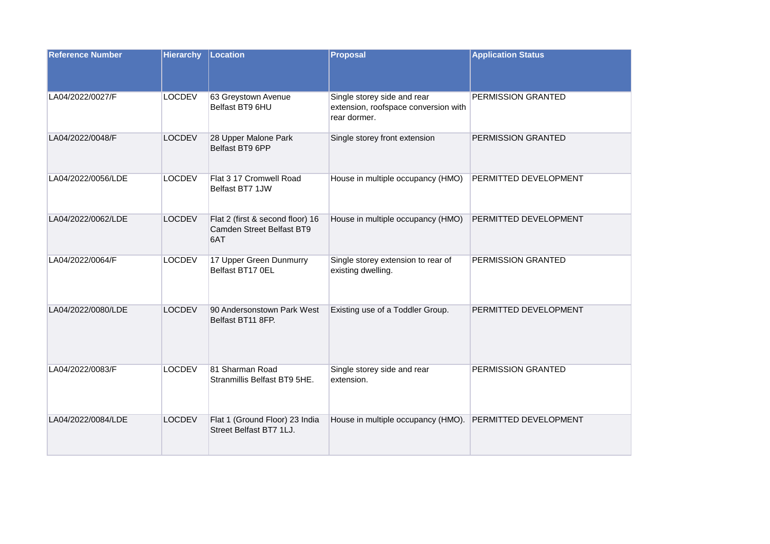| <b>Reference Number</b> | <b>Hierarchy</b> | Location                                                             | <b>Proposal</b>                                                                     | <b>Application Status</b> |
|-------------------------|------------------|----------------------------------------------------------------------|-------------------------------------------------------------------------------------|---------------------------|
| LA04/2022/0027/F        | <b>LOCDEV</b>    | 63 Greystown Avenue<br>Belfast BT9 6HU                               | Single storey side and rear<br>extension, roofspace conversion with<br>rear dormer. | PERMISSION GRANTED        |
| LA04/2022/0048/F        | <b>LOCDEV</b>    | 28 Upper Malone Park<br>Belfast BT9 6PP                              | Single storey front extension                                                       | PERMISSION GRANTED        |
| LA04/2022/0056/LDE      | <b>LOCDEV</b>    | Flat 3 17 Cromwell Road<br>Belfast BT7 1JW                           | House in multiple occupancy (HMO)                                                   | PERMITTED DEVELOPMENT     |
| LA04/2022/0062/LDE      | <b>LOCDEV</b>    | Flat 2 (first & second floor) 16<br>Camden Street Belfast BT9<br>6AT | House in multiple occupancy (HMO)                                                   | PERMITTED DEVELOPMENT     |
| LA04/2022/0064/F        | <b>LOCDEV</b>    | 17 Upper Green Dunmurry<br>Belfast BT17 0EL                          | Single storey extension to rear of<br>existing dwelling.                            | PERMISSION GRANTED        |
| LA04/2022/0080/LDE      | <b>LOCDEV</b>    | 90 Andersonstown Park West<br>Belfast BT11 8FP.                      | Existing use of a Toddler Group.                                                    | PERMITTED DEVELOPMENT     |
| LA04/2022/0083/F        | <b>LOCDEV</b>    | 81 Sharman Road<br>Stranmillis Belfast BT9 5HE.                      | Single storey side and rear<br>extension.                                           | PERMISSION GRANTED        |
| LA04/2022/0084/LDE      | <b>LOCDEV</b>    | Flat 1 (Ground Floor) 23 India<br>Street Belfast BT7 1LJ.            | House in multiple occupancy (HMO).                                                  | PERMITTED DEVELOPMENT     |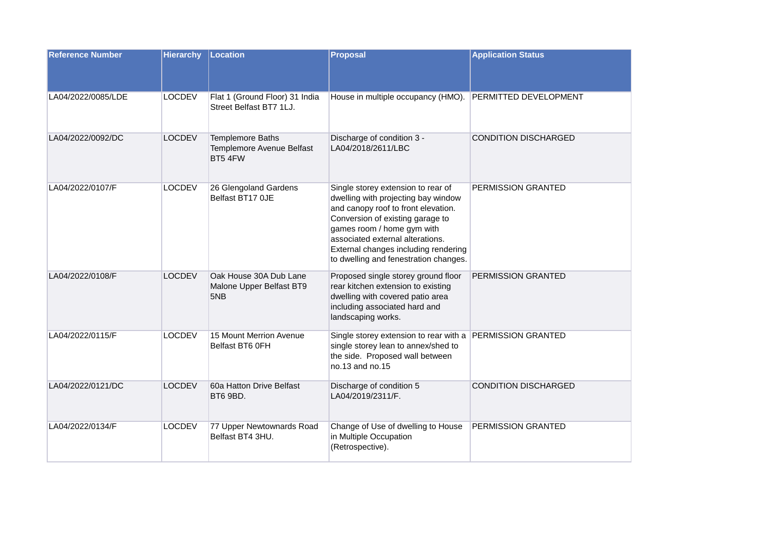| <b>Reference Number</b> | <b>Hierarchy</b> | Location                                                  | Proposal                                                                                                                                                                                                                                                                                                | <b>Application Status</b>   |
|-------------------------|------------------|-----------------------------------------------------------|---------------------------------------------------------------------------------------------------------------------------------------------------------------------------------------------------------------------------------------------------------------------------------------------------------|-----------------------------|
| LA04/2022/0085/LDE      | <b>LOCDEV</b>    | Flat 1 (Ground Floor) 31 India<br>Street Belfast BT7 1LJ. | House in multiple occupancy (HMO).                                                                                                                                                                                                                                                                      | PERMITTED DEVELOPMENT       |
| LA04/2022/0092/DC       | <b>LOCDEV</b>    | Templemore Baths<br>Templemore Avenue Belfast<br>BT5 4FW  | Discharge of condition 3 -<br>LA04/2018/2611/LBC                                                                                                                                                                                                                                                        | <b>CONDITION DISCHARGED</b> |
| LA04/2022/0107/F        | <b>LOCDEV</b>    | 26 Glengoland Gardens<br>Belfast BT17 0JE                 | Single storey extension to rear of<br>dwelling with projecting bay window<br>and canopy roof to front elevation.<br>Conversion of existing garage to<br>games room / home gym with<br>associated external alterations.<br>External changes including rendering<br>to dwelling and fenestration changes. | PERMISSION GRANTED          |
| LA04/2022/0108/F        | <b>LOCDEV</b>    | Oak House 30A Dub Lane<br>Malone Upper Belfast BT9<br>5NB | Proposed single storey ground floor<br>rear kitchen extension to existing<br>dwelling with covered patio area<br>including associated hard and<br>landscaping works.                                                                                                                                    | PERMISSION GRANTED          |
| LA04/2022/0115/F        | <b>LOCDEV</b>    | 15 Mount Merrion Avenue<br>Belfast BT6 0FH                | Single storey extension to rear with a PERMISSION GRANTED<br>single storey lean to annex/shed to<br>the side. Proposed wall between<br>no.13 and no.15                                                                                                                                                  |                             |
| LA04/2022/0121/DC       | <b>LOCDEV</b>    | 60a Hatton Drive Belfast<br>BT6 9BD.                      | Discharge of condition 5<br>LA04/2019/2311/F.                                                                                                                                                                                                                                                           | <b>CONDITION DISCHARGED</b> |
| LA04/2022/0134/F        | <b>LOCDEV</b>    | 77 Upper Newtownards Road<br>Belfast BT4 3HU.             | Change of Use of dwelling to House<br>in Multiple Occupation<br>(Retrospective).                                                                                                                                                                                                                        | PERMISSION GRANTED          |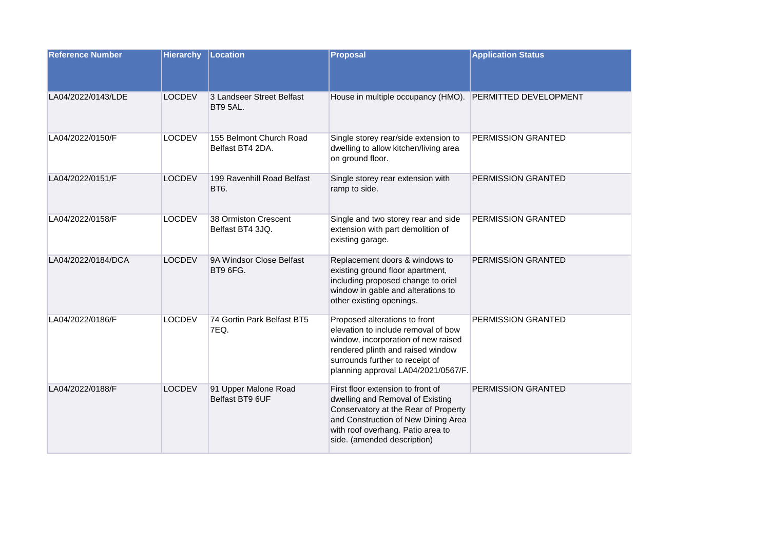| <b>Reference Number</b> | <b>Hierarchy</b> | Location                                    | <b>Proposal</b>                                                                                                                                                                                                            | <b>Application Status</b>    |
|-------------------------|------------------|---------------------------------------------|----------------------------------------------------------------------------------------------------------------------------------------------------------------------------------------------------------------------------|------------------------------|
| LA04/2022/0143/LDE      | <b>LOCDEV</b>    | 3 Landseer Street Belfast<br>BT9 5AL.       | House in multiple occupancy (HMO).                                                                                                                                                                                         | <b>PERMITTED DEVELOPMENT</b> |
| LA04/2022/0150/F        | <b>LOCDEV</b>    | 155 Belmont Church Road<br>Belfast BT4 2DA. | Single storey rear/side extension to<br>dwelling to allow kitchen/living area<br>on ground floor.                                                                                                                          | PERMISSION GRANTED           |
| LA04/2022/0151/F        | <b>LOCDEV</b>    | 199 Ravenhill Road Belfast<br>BT6.          | Single storey rear extension with<br>ramp to side.                                                                                                                                                                         | <b>PERMISSION GRANTED</b>    |
| LA04/2022/0158/F        | <b>LOCDEV</b>    | 38 Ormiston Crescent<br>Belfast BT4 3JQ.    | Single and two storey rear and side<br>extension with part demolition of<br>existing garage.                                                                                                                               | PERMISSION GRANTED           |
| LA04/2022/0184/DCA      | <b>LOCDEV</b>    | 9A Windsor Close Belfast<br>BT9 6FG.        | Replacement doors & windows to<br>existing ground floor apartment,<br>including proposed change to oriel<br>window in gable and alterations to<br>other existing openings.                                                 | PERMISSION GRANTED           |
| LA04/2022/0186/F        | <b>LOCDEV</b>    | 74 Gortin Park Belfast BT5<br>7EQ.          | Proposed alterations to front<br>elevation to include removal of bow<br>window, incorporation of new raised<br>rendered plinth and raised window<br>surrounds further to receipt of<br>planning approval LA04/2021/0567/F. | PERMISSION GRANTED           |
| LA04/2022/0188/F        | <b>LOCDEV</b>    | 91 Upper Malone Road<br>Belfast BT9 6UF     | First floor extension to front of<br>dwelling and Removal of Existing<br>Conservatory at the Rear of Property<br>and Construction of New Dining Area<br>with roof overhang. Patio area to<br>side. (amended description)   | PERMISSION GRANTED           |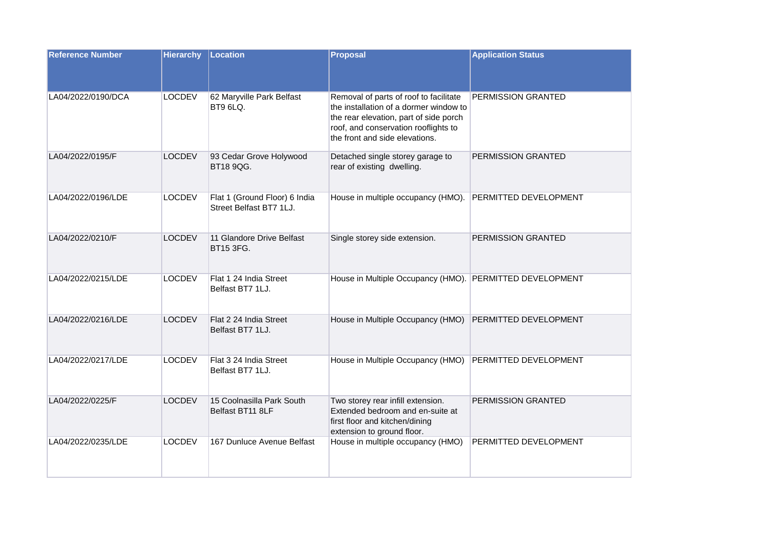| <b>Reference Number</b> | <b>Hierarchy</b> | Location                                                 | <b>Proposal</b>                                                                                                                                                                                      | <b>Application Status</b> |
|-------------------------|------------------|----------------------------------------------------------|------------------------------------------------------------------------------------------------------------------------------------------------------------------------------------------------------|---------------------------|
| LA04/2022/0190/DCA      | <b>LOCDEV</b>    | 62 Maryville Park Belfast<br>BT9 6LQ.                    | Removal of parts of roof to facilitate<br>the installation of a dormer window to<br>the rear elevation, part of side porch<br>roof, and conservation rooflights to<br>the front and side elevations. | PERMISSION GRANTED        |
| LA04/2022/0195/F        | <b>LOCDEV</b>    | 93 Cedar Grove Holywood<br>BT18 9QG.                     | Detached single storey garage to<br>rear of existing dwelling.                                                                                                                                       | PERMISSION GRANTED        |
| LA04/2022/0196/LDE      | <b>LOCDEV</b>    | Flat 1 (Ground Floor) 6 India<br>Street Belfast BT7 1LJ. | House in multiple occupancy (HMO).                                                                                                                                                                   | PERMITTED DEVELOPMENT     |
| LA04/2022/0210/F        | <b>LOCDEV</b>    | 11 Glandore Drive Belfast<br><b>BT15 3FG.</b>            | Single storey side extension.                                                                                                                                                                        | PERMISSION GRANTED        |
| LA04/2022/0215/LDE      | <b>LOCDEV</b>    | Flat 1 24 India Street<br>Belfast BT7 1LJ.               | House in Multiple Occupancy (HMO). PERMITTED DEVELOPMENT                                                                                                                                             |                           |
| LA04/2022/0216/LDE      | <b>LOCDEV</b>    | Flat 2 24 India Street<br>Belfast BT7 1LJ.               | House in Multiple Occupancy (HMO)                                                                                                                                                                    | PERMITTED DEVELOPMENT     |
| LA04/2022/0217/LDE      | <b>LOCDEV</b>    | Flat 3 24 India Street<br>Belfast BT7 1LJ.               | House in Multiple Occupancy (HMO)                                                                                                                                                                    | PERMITTED DEVELOPMENT     |
| LA04/2022/0225/F        | <b>LOCDEV</b>    | 15 Coolnasilla Park South<br>Belfast BT11 8LF            | Two storey rear infill extension.<br>Extended bedroom and en-suite at<br>first floor and kitchen/dining<br>extension to ground floor.                                                                | PERMISSION GRANTED        |
| LA04/2022/0235/LDE      | <b>LOCDEV</b>    | 167 Dunluce Avenue Belfast                               | House in multiple occupancy (HMO)                                                                                                                                                                    | PERMITTED DEVELOPMENT     |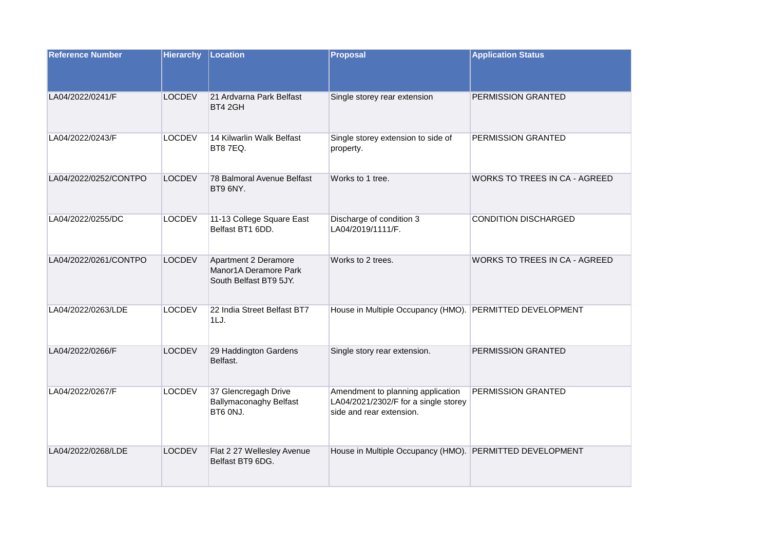| <b>Reference Number</b> | <b>Hierarchy</b> | Location                                                                | <b>Proposal</b>                                                                                       | <b>Application Status</b>            |
|-------------------------|------------------|-------------------------------------------------------------------------|-------------------------------------------------------------------------------------------------------|--------------------------------------|
| LA04/2022/0241/F        | <b>LOCDEV</b>    | 21 Ardvarna Park Belfast<br>BT4 2GH                                     | Single storey rear extension                                                                          | PERMISSION GRANTED                   |
| LA04/2022/0243/F        | <b>LOCDEV</b>    | 14 Kilwarlin Walk Belfast<br>BT87EQ.                                    | Single storey extension to side of<br>property.                                                       | PERMISSION GRANTED                   |
| LA04/2022/0252/CONTPO   | <b>LOCDEV</b>    | 78 Balmoral Avenue Belfast<br>BT9 6NY.                                  | Works to 1 tree.                                                                                      | <b>WORKS TO TREES IN CA - AGREED</b> |
| LA04/2022/0255/DC       | <b>LOCDEV</b>    | 11-13 College Square East<br>Belfast BT1 6DD.                           | Discharge of condition 3<br>LA04/2019/1111/F.                                                         | CONDITION DISCHARGED                 |
| LA04/2022/0261/CONTPO   | <b>LOCDEV</b>    | Apartment 2 Deramore<br>Manor1A Deramore Park<br>South Belfast BT9 5JY. | Works to 2 trees.                                                                                     | WORKS TO TREES IN CA - AGREED        |
| LA04/2022/0263/LDE      | <b>LOCDEV</b>    | 22 India Street Belfast BT7<br>1LJ.                                     | House in Multiple Occupancy (HMO). PERMITTED DEVELOPMENT                                              |                                      |
| LA04/2022/0266/F        | <b>LOCDEV</b>    | 29 Haddington Gardens<br>Belfast.                                       | Single story rear extension.                                                                          | PERMISSION GRANTED                   |
| LA04/2022/0267/F        | <b>LOCDEV</b>    | 37 Glencregagh Drive<br><b>Ballymaconaghy Belfast</b><br>BT6 ONJ.       | Amendment to planning application<br>LA04/2021/2302/F for a single storey<br>side and rear extension. | PERMISSION GRANTED                   |
| LA04/2022/0268/LDE      | <b>LOCDEV</b>    | Flat 2 27 Wellesley Avenue<br>Belfast BT9 6DG.                          | House in Multiple Occupancy (HMO). PERMITTED DEVELOPMENT                                              |                                      |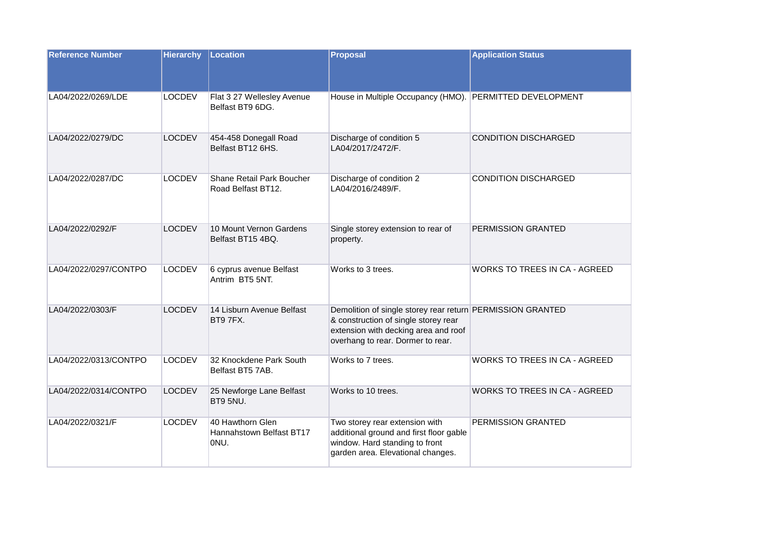| <b>Reference Number</b> | <b>Hierarchy</b> | Location                                             | <b>Proposal</b>                                                                                                                                                                 | <b>Application Status</b>            |
|-------------------------|------------------|------------------------------------------------------|---------------------------------------------------------------------------------------------------------------------------------------------------------------------------------|--------------------------------------|
| LA04/2022/0269/LDE      | <b>LOCDEV</b>    | Flat 3 27 Wellesley Avenue<br>Belfast BT9 6DG.       | House in Multiple Occupancy (HMO). PERMITTED DEVELOPMENT                                                                                                                        |                                      |
| LA04/2022/0279/DC       | <b>LOCDEV</b>    | 454-458 Donegall Road<br>Belfast BT12 6HS.           | Discharge of condition 5<br>LA04/2017/2472/F.                                                                                                                                   | <b>CONDITION DISCHARGED</b>          |
| LA04/2022/0287/DC       | <b>LOCDEV</b>    | Shane Retail Park Boucher<br>Road Belfast BT12.      | Discharge of condition 2<br>LA04/2016/2489/F.                                                                                                                                   | <b>CONDITION DISCHARGED</b>          |
| LA04/2022/0292/F        | <b>LOCDEV</b>    | 10 Mount Vernon Gardens<br>Belfast BT15 4BQ.         | Single storey extension to rear of<br>property.                                                                                                                                 | PERMISSION GRANTED                   |
| LA04/2022/0297/CONTPO   | <b>LOCDEV</b>    | 6 cyprus avenue Belfast<br>Antrim BT5 5NT.           | Works to 3 trees.                                                                                                                                                               | WORKS TO TREES IN CA - AGREED        |
| LA04/2022/0303/F        | <b>LOCDEV</b>    | 14 Lisburn Avenue Belfast<br>BT97FX.                 | Demolition of single storey rear return PERMISSION GRANTED<br>& construction of single storey rear<br>extension with decking area and roof<br>overhang to rear. Dormer to rear. |                                      |
| LA04/2022/0313/CONTPO   | <b>LOCDEV</b>    | 32 Knockdene Park South<br>Belfast BT5 7AB.          | Works to 7 trees.                                                                                                                                                               | <b>WORKS TO TREES IN CA - AGREED</b> |
| LA04/2022/0314/CONTPO   | <b>LOCDEV</b>    | 25 Newforge Lane Belfast<br>BT9 5NU.                 | Works to 10 trees.                                                                                                                                                              | <b>WORKS TO TREES IN CA - AGREED</b> |
| LA04/2022/0321/F        | <b>LOCDEV</b>    | 40 Hawthorn Glen<br>Hannahstown Belfast BT17<br>ONU. | Two storey rear extension with<br>additional ground and first floor gable<br>window. Hard standing to front<br>garden area. Elevational changes.                                | PERMISSION GRANTED                   |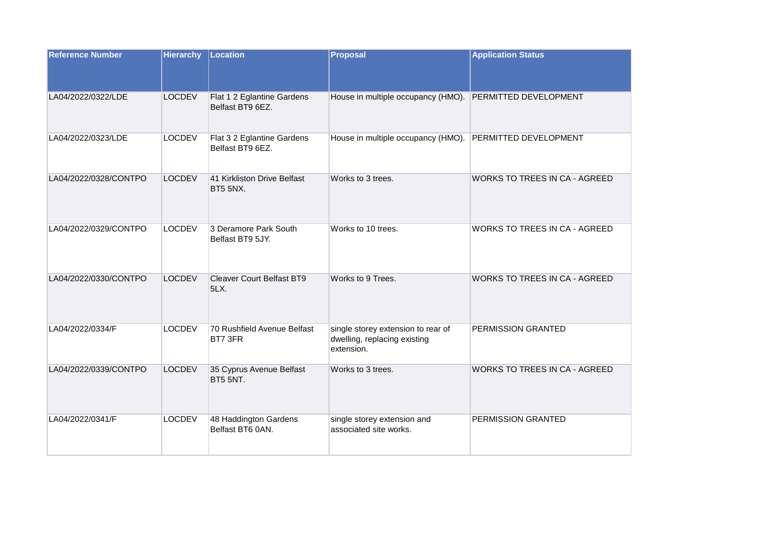| <b>Reference Number</b> | <b>Hierarchy</b> | Location                                        | <b>Proposal</b>                                                                  | <b>Application Status</b>            |
|-------------------------|------------------|-------------------------------------------------|----------------------------------------------------------------------------------|--------------------------------------|
| LA04/2022/0322/LDE      | <b>LOCDEV</b>    | Flat 1 2 Eglantine Gardens<br>Belfast BT9 6EZ.  | House in multiple occupancy (HMO). PERMITTED DEVELOPMENT                         |                                      |
| LA04/2022/0323/LDE      | <b>LOCDEV</b>    | Flat 3 2 Eglantine Gardens<br>Belfast BT9 6EZ.  | House in multiple occupancy (HMO).                                               | PERMITTED DEVELOPMENT                |
| LA04/2022/0328/CONTPO   | <b>LOCDEV</b>    | 41 Kirkliston Drive Belfast<br><b>BT5 5NX.</b>  | Works to 3 trees.                                                                | <b>WORKS TO TREES IN CA - AGREED</b> |
| LA04/2022/0329/CONTPO   | <b>LOCDEV</b>    | 3 Deramore Park South<br>Belfast BT9 5JY.       | Works to 10 trees.                                                               | WORKS TO TREES IN CA - AGREED        |
| LA04/2022/0330/CONTPO   | <b>LOCDEV</b>    | <b>Cleaver Court Belfast BT9</b><br><b>5LX.</b> | Works to 9 Trees.                                                                | <b>WORKS TO TREES IN CA - AGREED</b> |
| LA04/2022/0334/F        | <b>LOCDEV</b>    | 70 Rushfield Avenue Belfast<br>BT7 3FR          | single storey extension to rear of<br>dwelling, replacing existing<br>extension. | <b>PERMISSION GRANTED</b>            |
| LA04/2022/0339/CONTPO   | <b>LOCDEV</b>    | 35 Cyprus Avenue Belfast<br>BT5 5NT.            | Works to 3 trees.                                                                | WORKS TO TREES IN CA - AGREED        |
| LA04/2022/0341/F        | <b>LOCDEV</b>    | 48 Haddington Gardens<br>Belfast BT6 0AN.       | single storey extension and<br>associated site works.                            | PERMISSION GRANTED                   |